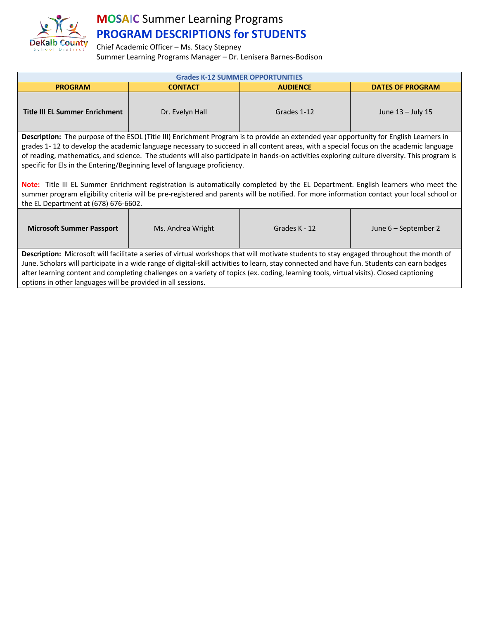

## **MOSAIC** Summer Learning Programs **PROGRAM DESCRIPTIONS for STUDENTS**

Chief Academic Officer – Ms. Stacy Stepney Summer Learning Programs Manager – Dr. Lenisera Barnes-Bodison

| <b>Grades K-12 SUMMER OPPORTUNITIES</b>                                                                                                                                                                                                                                         |                 |                 |                         |  |  |  |
|---------------------------------------------------------------------------------------------------------------------------------------------------------------------------------------------------------------------------------------------------------------------------------|-----------------|-----------------|-------------------------|--|--|--|
| <b>PROGRAM</b>                                                                                                                                                                                                                                                                  | <b>CONTACT</b>  | <b>AUDIENCE</b> | <b>DATES OF PROGRAM</b> |  |  |  |
| <b>Title III EL Summer Enrichment</b>                                                                                                                                                                                                                                           | Dr. Evelyn Hall | Grades 1-12     | June $13 -$ July 15     |  |  |  |
| Description: The purpose of the ESOL (Title III) Enrichment Program is to provide an extended year opportunity for English Learners in<br>grades 1-12 to develop the academic language necessary to succeed in all content areas, with a special focus on the academic language |                 |                 |                         |  |  |  |

of reading, mathematics, and science. The students will also participate in hands-on activities exploring culture diversity. This program is specific for Els in the Entering/Beginning level of language proficiency.

**Note:** Title III EL Summer Enrichment registration is automatically completed by the EL Department. English learners who meet the summer program eligibility criteria will be pre-registered and parents will be notified. For more information contact your local school or the EL Department at (678) 676-6602.

| <b>Microsoft Summer Passport</b>                                                                                                                                                                                                                                                                                                                                                                                                                                                                   | Ms. Andrea Wright | Grades K - 12 | June 6 – September 2 |  |  |
|----------------------------------------------------------------------------------------------------------------------------------------------------------------------------------------------------------------------------------------------------------------------------------------------------------------------------------------------------------------------------------------------------------------------------------------------------------------------------------------------------|-------------------|---------------|----------------------|--|--|
| Description: Microsoft will facilitate a series of virtual workshops that will motivate students to stay engaged throughout the month of<br>June. Scholars will participate in a wide range of digital-skill activities to learn, stay connected and have fun. Students can earn badges<br>after learning content and completing challenges on a variety of topics (ex. coding, learning tools, virtual visits). Closed captioning<br>options in other languages will be provided in all sessions. |                   |               |                      |  |  |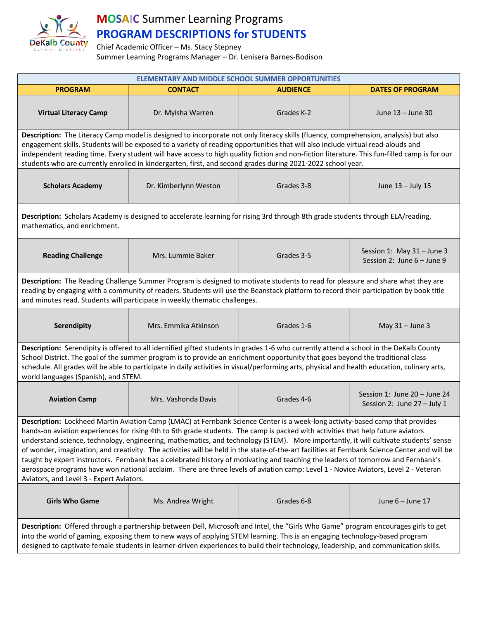

## **MOSAIC** Summer Learning Programs **PROGRAM DESCRIPTIONS for STUDENTS**

Chief Academic Officer – Ms. Stacy Stepney

Summer Learning Programs Manager – Dr. Lenisera Barnes-Bodison

| ELEMENTARY AND MIDDLE SCHOOL SUMMER OPPORTUNITIES                                                                                                                                                                                                                                                                                                                                                                                                                                                                                                                                                                                                                                                                                                                                                                                                                                  |                       |                 |                                                             |  |  |
|------------------------------------------------------------------------------------------------------------------------------------------------------------------------------------------------------------------------------------------------------------------------------------------------------------------------------------------------------------------------------------------------------------------------------------------------------------------------------------------------------------------------------------------------------------------------------------------------------------------------------------------------------------------------------------------------------------------------------------------------------------------------------------------------------------------------------------------------------------------------------------|-----------------------|-----------------|-------------------------------------------------------------|--|--|
| <b>PROGRAM</b>                                                                                                                                                                                                                                                                                                                                                                                                                                                                                                                                                                                                                                                                                                                                                                                                                                                                     | <b>CONTACT</b>        | <b>AUDIENCE</b> | <b>DATES OF PROGRAM</b>                                     |  |  |
| <b>Virtual Literacy Camp</b>                                                                                                                                                                                                                                                                                                                                                                                                                                                                                                                                                                                                                                                                                                                                                                                                                                                       | Dr. Myisha Warren     | Grades K-2      | June 13 - June 30                                           |  |  |
| Description: The Literacy Camp model is designed to incorporate not only literacy skills (fluency, comprehension, analysis) but also<br>engagement skills. Students will be exposed to a variety of reading opportunities that will also include virtual read-alouds and<br>independent reading time. Every student will have access to high quality fiction and non-fiction literature. This fun-filled camp is for our<br>students who are currently enrolled in kindergarten, first, and second grades during 2021-2022 school year.                                                                                                                                                                                                                                                                                                                                            |                       |                 |                                                             |  |  |
| <b>Scholars Academy</b>                                                                                                                                                                                                                                                                                                                                                                                                                                                                                                                                                                                                                                                                                                                                                                                                                                                            | Dr. Kimberlynn Weston | Grades 3-8      | June 13 - July 15                                           |  |  |
| Description: Scholars Academy is designed to accelerate learning for rising 3rd through 8th grade students through ELA/reading,<br>mathematics, and enrichment.                                                                                                                                                                                                                                                                                                                                                                                                                                                                                                                                                                                                                                                                                                                    |                       |                 |                                                             |  |  |
| <b>Reading Challenge</b>                                                                                                                                                                                                                                                                                                                                                                                                                                                                                                                                                                                                                                                                                                                                                                                                                                                           | Mrs. Lummie Baker     | Grades 3-5      | Session 1: May 31 - June 3<br>Session 2: June 6 - June 9    |  |  |
| Description: The Reading Challenge Summer Program is designed to motivate students to read for pleasure and share what they are<br>reading by engaging with a community of readers. Students will use the Beanstack platform to record their participation by book title<br>and minutes read. Students will participate in weekly thematic challenges.                                                                                                                                                                                                                                                                                                                                                                                                                                                                                                                             |                       |                 |                                                             |  |  |
| Serendipity                                                                                                                                                                                                                                                                                                                                                                                                                                                                                                                                                                                                                                                                                                                                                                                                                                                                        | Mrs. Emmika Atkinson  | Grades 1-6      | May $31 -$ June 3                                           |  |  |
| Description: Serendipity is offered to all identified gifted students in grades 1-6 who currently attend a school in the DeKalb County<br>School District. The goal of the summer program is to provide an enrichment opportunity that goes beyond the traditional class<br>schedule. All grades will be able to participate in daily activities in visual/performing arts, physical and health education, culinary arts,<br>world languages (Spanish), and STEM.                                                                                                                                                                                                                                                                                                                                                                                                                  |                       |                 |                                                             |  |  |
| <b>Aviation Camp</b>                                                                                                                                                                                                                                                                                                                                                                                                                                                                                                                                                                                                                                                                                                                                                                                                                                                               | Mrs. Vashonda Davis   | Grades 4-6      | Session 1: June 20 - June 24<br>Session 2: June 27 - July 1 |  |  |
| Description: Lockheed Martin Aviation Camp (LMAC) at Fernbank Science Center is a week-long activity-based camp that provides<br>hands-on aviation experiences for rising 4th to 6th grade students. The camp is packed with activities that help future aviators<br>understand science, technology, engineering, mathematics, and technology (STEM). More importantly, it will cultivate students' sense<br>of wonder, imagination, and creativity. The activities will be held in the state-of-the-art facilities at Fernbank Science Center and will be<br>taught by expert instructors. Fernbank has a celebrated history of motivating and teaching the leaders of tomorrow and Fernbank's<br>aerospace programs have won national acclaim. There are three levels of aviation camp: Level 1 - Novice Aviators, Level 2 - Veteran<br>Aviators, and Level 3 - Expert Aviators. |                       |                 |                                                             |  |  |
| <b>Girls Who Game</b>                                                                                                                                                                                                                                                                                                                                                                                                                                                                                                                                                                                                                                                                                                                                                                                                                                                              | Ms. Andrea Wright     | Grades 6-8      | June 6 - June 17                                            |  |  |
| Description: Offered through a partnership between Dell, Microsoft and Intel, the "Girls Who Game" program encourages girls to get<br>into the world of gaming, exposing them to new ways of applying STEM learning. This is an engaging technology-based program<br>designed to captivate female students in learner-driven experiences to build their technology, leadership, and communication skills.                                                                                                                                                                                                                                                                                                                                                                                                                                                                          |                       |                 |                                                             |  |  |